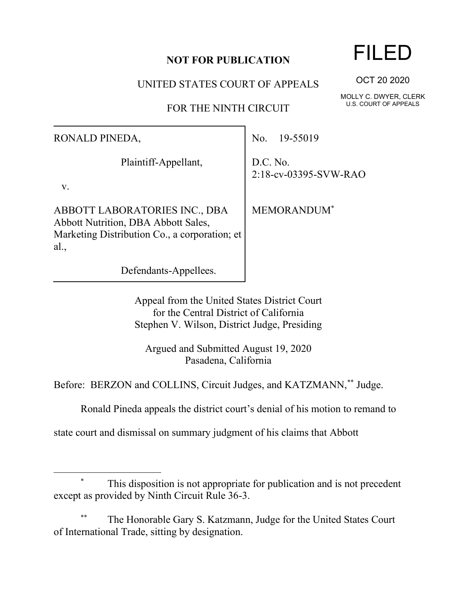## **NOT FOR PUBLICATION**

UNITED STATES COURT OF APPEALS

FOR THE NINTH CIRCUIT

RONALD PINEDA,

Plaintiff-Appellant,

v.

ABBOTT LABORATORIES INC., DBA Abbott Nutrition, DBA Abbott Sales, Marketing Distribution Co., a corporation; et al.,

Defendants-Appellees.

No. 19-55019

D.C. No. 2:18-cv-03395-SVW-RAO

MEMORANDUM\*

Appeal from the United States District Court for the Central District of California Stephen V. Wilson, District Judge, Presiding

Argued and Submitted August 19, 2020 Pasadena, California

Before: BERZON and COLLINS, Circuit Judges, and KATZMANN,\*\* Judge.

Ronald Pineda appeals the district court's denial of his motion to remand to

state court and dismissal on summary judgment of his claims that Abbott

## This disposition is not appropriate for publication and is not precedent except as provided by Ninth Circuit Rule 36-3.

The Honorable Gary S. Katzmann, Judge for the United States Court of International Trade, sitting by designation.

## FILED

OCT 20 2020

MOLLY C. DWYER, CLERK U.S. COURT OF APPEALS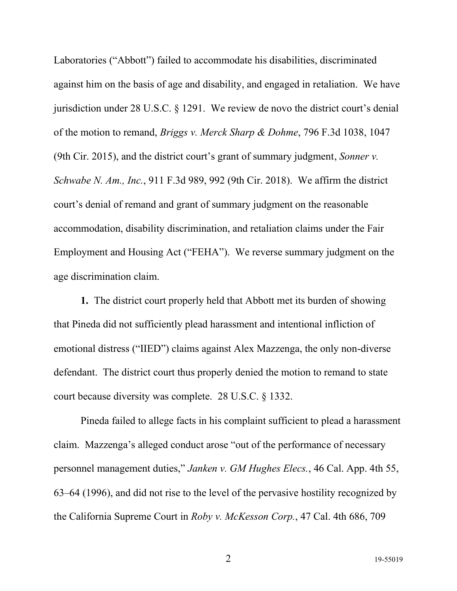Laboratories ("Abbott") failed to accommodate his disabilities, discriminated against him on the basis of age and disability, and engaged in retaliation. We have jurisdiction under 28 U.S.C. § 1291. We review de novo the district court's denial of the motion to remand, *Briggs v. Merck Sharp & Dohme*, 796 F.3d 1038, 1047 (9th Cir. 2015), and the district court's grant of summary judgment, *Sonner v. Schwabe N. Am., Inc.*, 911 F.3d 989, 992 (9th Cir. 2018). We affirm the district court's denial of remand and grant of summary judgment on the reasonable accommodation, disability discrimination, and retaliation claims under the Fair Employment and Housing Act ("FEHA"). We reverse summary judgment on the age discrimination claim.

**1.** The district court properly held that Abbott met its burden of showing that Pineda did not sufficiently plead harassment and intentional infliction of emotional distress ("IIED") claims against Alex Mazzenga, the only non-diverse defendant. The district court thus properly denied the motion to remand to state court because diversity was complete. 28 U.S.C. § 1332.

Pineda failed to allege facts in his complaint sufficient to plead a harassment claim. Mazzenga's alleged conduct arose "out of the performance of necessary personnel management duties," *Janken v. GM Hughes Elecs.*, 46 Cal. App. 4th 55, 63–64 (1996), and did not rise to the level of the pervasive hostility recognized by the California Supreme Court in *Roby v. McKesson Corp.*, 47 Cal. 4th 686, 709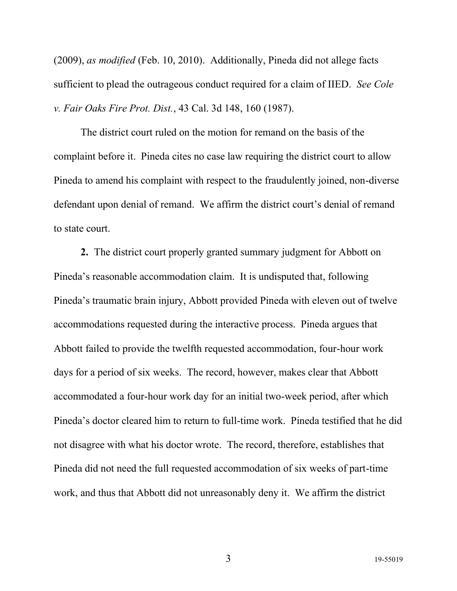(2009), *as modified* (Feb. 10, 2010). Additionally, Pineda did not allege facts sufficient to plead the outrageous conduct required for a claim of IIED. *See Cole v. Fair Oaks Fire Prot. Dist.*, 43 Cal. 3d 148, 160 (1987).

The district court ruled on the motion for remand on the basis of the complaint before it. Pineda cites no case law requiring the district court to allow Pineda to amend his complaint with respect to the fraudulently joined, non-diverse defendant upon denial of remand. We affirm the district court's denial of remand to state court.

**2.** The district court properly granted summary judgment for Abbott on Pineda's reasonable accommodation claim. It is undisputed that, following Pineda's traumatic brain injury, Abbott provided Pineda with eleven out of twelve accommodations requested during the interactive process. Pineda argues that Abbott failed to provide the twelfth requested accommodation, four-hour work days for a period of six weeks. The record, however, makes clear that Abbott accommodated a four-hour work day for an initial two-week period, after which Pineda's doctor cleared him to return to full-time work. Pineda testified that he did not disagree with what his doctor wrote. The record, therefore, establishes that Pineda did not need the full requested accommodation of six weeks of part-time work, and thus that Abbott did not unreasonably deny it. We affirm the district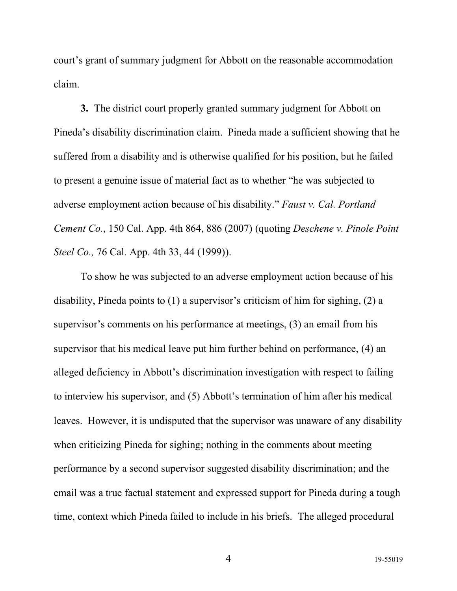court's grant of summary judgment for Abbott on the reasonable accommodation claim.

**3.** The district court properly granted summary judgment for Abbott on Pineda's disability discrimination claim. Pineda made a sufficient showing that he suffered from a disability and is otherwise qualified for his position, but he failed to present a genuine issue of material fact as to whether "he was subjected to adverse employment action because of his disability." *Faust v. Cal. Portland Cement Co.*, 150 Cal. App. 4th 864, 886 (2007) (quoting *Deschene v. Pinole Point Steel Co.,* 76 Cal. App. 4th 33, 44 (1999)).

To show he was subjected to an adverse employment action because of his disability, Pineda points to (1) a supervisor's criticism of him for sighing, (2) a supervisor's comments on his performance at meetings, (3) an email from his supervisor that his medical leave put him further behind on performance, (4) an alleged deficiency in Abbott's discrimination investigation with respect to failing to interview his supervisor, and (5) Abbott's termination of him after his medical leaves. However, it is undisputed that the supervisor was unaware of any disability when criticizing Pineda for sighing; nothing in the comments about meeting performance by a second supervisor suggested disability discrimination; and the email was a true factual statement and expressed support for Pineda during a tough time, context which Pineda failed to include in his briefs. The alleged procedural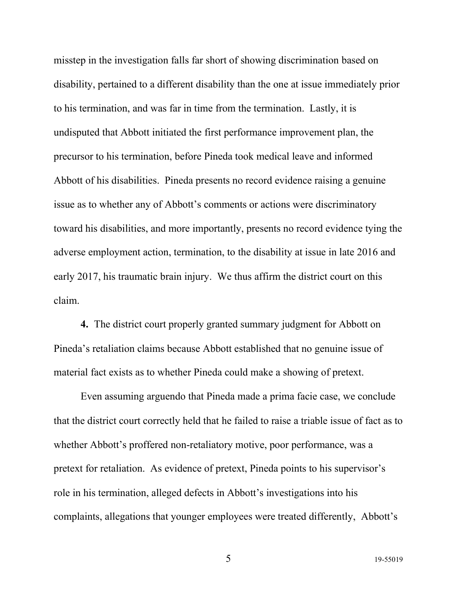misstep in the investigation falls far short of showing discrimination based on disability, pertained to a different disability than the one at issue immediately prior to his termination, and was far in time from the termination. Lastly, it is undisputed that Abbott initiated the first performance improvement plan, the precursor to his termination, before Pineda took medical leave and informed Abbott of his disabilities. Pineda presents no record evidence raising a genuine issue as to whether any of Abbott's comments or actions were discriminatory toward his disabilities, and more importantly, presents no record evidence tying the adverse employment action, termination, to the disability at issue in late 2016 and early 2017, his traumatic brain injury. We thus affirm the district court on this claim.

**4.** The district court properly granted summary judgment for Abbott on Pineda's retaliation claims because Abbott established that no genuine issue of material fact exists as to whether Pineda could make a showing of pretext.

Even assuming arguendo that Pineda made a prima facie case, we conclude that the district court correctly held that he failed to raise a triable issue of fact as to whether Abbott's proffered non-retaliatory motive, poor performance, was a pretext for retaliation. As evidence of pretext, Pineda points to his supervisor's role in his termination, alleged defects in Abbott's investigations into his complaints, allegations that younger employees were treated differently, Abbott's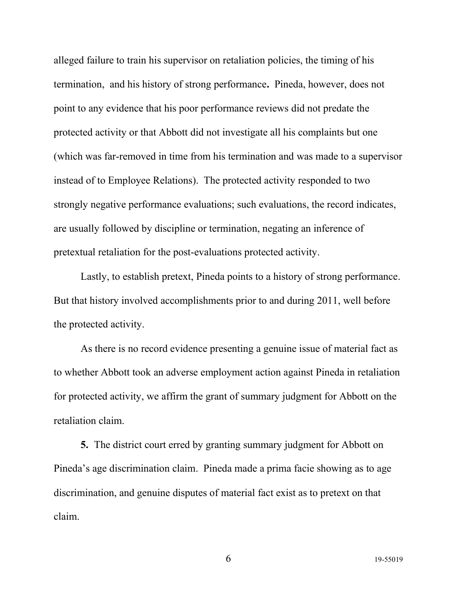alleged failure to train his supervisor on retaliation policies, the timing of his termination, and his history of strong performance**.** Pineda, however, does not point to any evidence that his poor performance reviews did not predate the protected activity or that Abbott did not investigate all his complaints but one (which was far-removed in time from his termination and was made to a supervisor instead of to Employee Relations). The protected activity responded to two strongly negative performance evaluations; such evaluations, the record indicates, are usually followed by discipline or termination, negating an inference of pretextual retaliation for the post-evaluations protected activity.

Lastly, to establish pretext, Pineda points to a history of strong performance. But that history involved accomplishments prior to and during 2011, well before the protected activity.

As there is no record evidence presenting a genuine issue of material fact as to whether Abbott took an adverse employment action against Pineda in retaliation for protected activity, we affirm the grant of summary judgment for Abbott on the retaliation claim.

**5.** The district court erred by granting summary judgment for Abbott on Pineda's age discrimination claim. Pineda made a prima facie showing as to age discrimination, and genuine disputes of material fact exist as to pretext on that claim.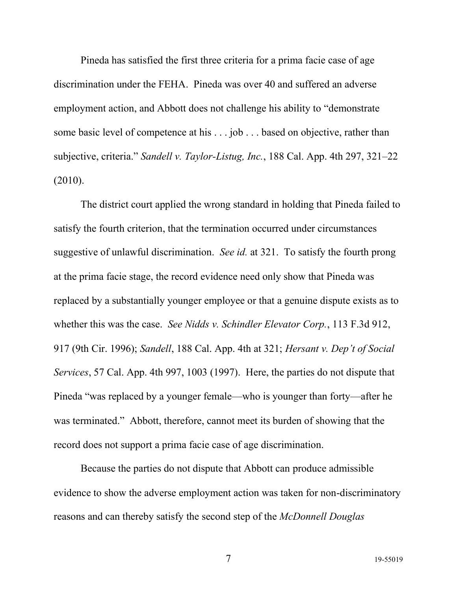Pineda has satisfied the first three criteria for a prima facie case of age discrimination under the FEHA. Pineda was over 40 and suffered an adverse employment action, and Abbott does not challenge his ability to "demonstrate some basic level of competence at his . . . job . . . based on objective, rather than subjective, criteria." *Sandell v. Taylor-Listug, Inc.*, 188 Cal. App. 4th 297, 321–22 (2010).

The district court applied the wrong standard in holding that Pineda failed to satisfy the fourth criterion, that the termination occurred under circumstances suggestive of unlawful discrimination. *See id.* at 321. To satisfy the fourth prong at the prima facie stage, the record evidence need only show that Pineda was replaced by a substantially younger employee or that a genuine dispute exists as to whether this was the case. *See Nidds v. Schindler Elevator Corp.*, 113 F.3d 912, 917 (9th Cir. 1996); *Sandell*, 188 Cal. App. 4th at 321; *Hersant v. Dep't of Social Services*, 57 Cal. App. 4th 997, 1003 (1997). Here, the parties do not dispute that Pineda "was replaced by a younger female—who is younger than forty—after he was terminated." Abbott, therefore, cannot meet its burden of showing that the record does not support a prima facie case of age discrimination.

Because the parties do not dispute that Abbott can produce admissible evidence to show the adverse employment action was taken for non-discriminatory reasons and can thereby satisfy the second step of the *McDonnell Douglas*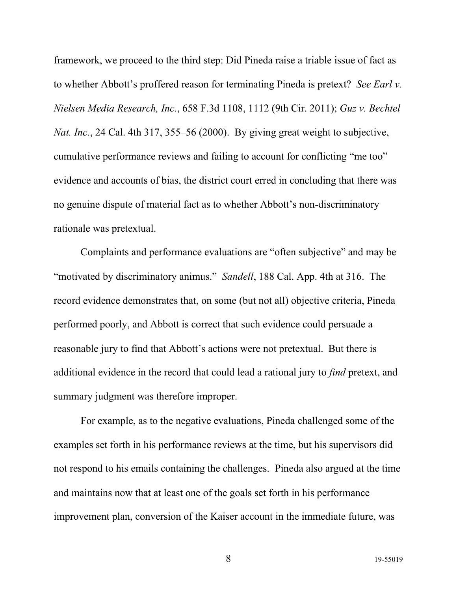framework, we proceed to the third step: Did Pineda raise a triable issue of fact as to whether Abbott's proffered reason for terminating Pineda is pretext? *See Earl v. Nielsen Media Research, Inc.*, 658 F.3d 1108, 1112 (9th Cir. 2011); *Guz v. Bechtel Nat. Inc.*, 24 Cal. 4th 317, 355–56 (2000). By giving great weight to subjective, cumulative performance reviews and failing to account for conflicting "me too" evidence and accounts of bias, the district court erred in concluding that there was no genuine dispute of material fact as to whether Abbott's non-discriminatory rationale was pretextual.

Complaints and performance evaluations are "often subjective" and may be "motivated by discriminatory animus." *Sandell*, 188 Cal. App. 4th at 316. The record evidence demonstrates that, on some (but not all) objective criteria, Pineda performed poorly, and Abbott is correct that such evidence could persuade a reasonable jury to find that Abbott's actions were not pretextual. But there is additional evidence in the record that could lead a rational jury to *find* pretext, and summary judgment was therefore improper.

For example, as to the negative evaluations, Pineda challenged some of the examples set forth in his performance reviews at the time, but his supervisors did not respond to his emails containing the challenges. Pineda also argued at the time and maintains now that at least one of the goals set forth in his performance improvement plan, conversion of the Kaiser account in the immediate future, was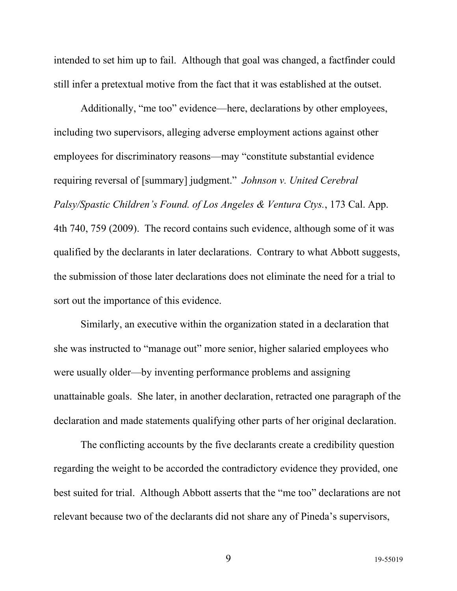intended to set him up to fail. Although that goal was changed, a factfinder could still infer a pretextual motive from the fact that it was established at the outset.

Additionally, "me too" evidence—here, declarations by other employees, including two supervisors, alleging adverse employment actions against other employees for discriminatory reasons—may "constitute substantial evidence requiring reversal of [summary] judgment." *Johnson v. United Cerebral Palsy/Spastic Children's Found. of Los Angeles & Ventura Ctys.*, 173 Cal. App. 4th 740, 759 (2009). The record contains such evidence, although some of it was qualified by the declarants in later declarations. Contrary to what Abbott suggests, the submission of those later declarations does not eliminate the need for a trial to sort out the importance of this evidence.

Similarly, an executive within the organization stated in a declaration that she was instructed to "manage out" more senior, higher salaried employees who were usually older—by inventing performance problems and assigning unattainable goals. She later, in another declaration, retracted one paragraph of the declaration and made statements qualifying other parts of her original declaration.

The conflicting accounts by the five declarants create a credibility question regarding the weight to be accorded the contradictory evidence they provided, one best suited for trial. Although Abbott asserts that the "me too" declarations are not relevant because two of the declarants did not share any of Pineda's supervisors,